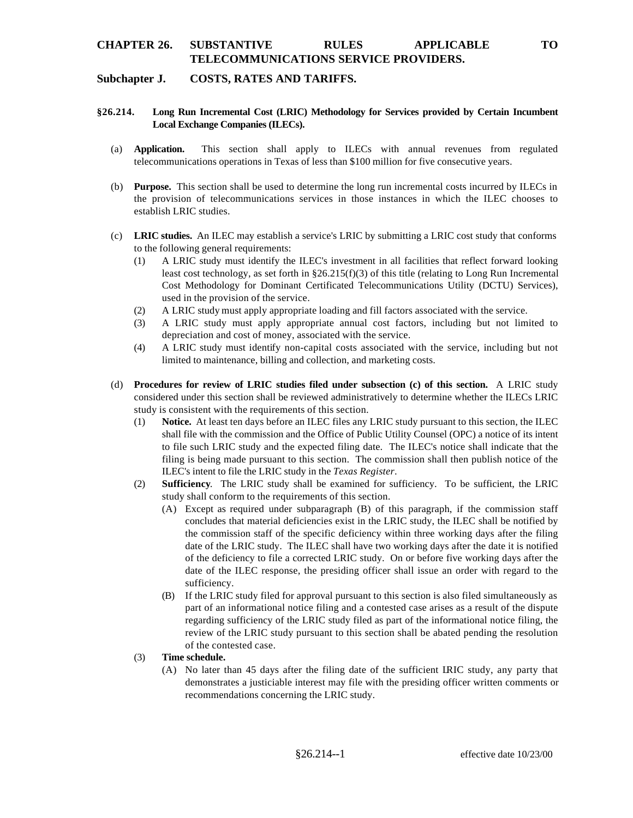# **CHAPTER 26. SUBSTANTIVE RULES APPLICABLE TO TELECOMMUNICATIONS SERVICE PROVIDERS.**

### **Subchapter J. COSTS, RATES AND TARIFFS.**

### **§26.214. Long Run Incremental Cost (LRIC) Methodology for Services provided by Certain Incumbent Local Exchange Companies (ILECs).**

- (a) **Application.** This section shall apply to ILECs with annual revenues from regulated telecommunications operations in Texas of less than \$100 million for five consecutive years.
- (b) **Purpose.** This section shall be used to determine the long run incremental costs incurred by ILECs in the provision of telecommunications services in those instances in which the ILEC chooses to establish LRIC studies.
- (c) **LRIC studies.** An ILEC may establish a service's LRIC by submitting a LRIC cost study that conforms to the following general requirements:
	- (1) A LRIC study must identify the ILEC's investment in all facilities that reflect forward looking least cost technology, as set forth in §26.215(f)(3) of this title (relating to Long Run Incremental Cost Methodology for Dominant Certificated Telecommunications Utility (DCTU) Services), used in the provision of the service.
	- (2) A LRIC study must apply appropriate loading and fill factors associated with the service.
	- (3) A LRIC study must apply appropriate annual cost factors, including but not limited to depreciation and cost of money, associated with the service.
	- (4) A LRIC study must identify non-capital costs associated with the service, including but not limited to maintenance, billing and collection, and marketing costs.
- (d) **Procedures for review of LRIC studies filed under subsection (c) of this section.** A LRIC study considered under this section shall be reviewed administratively to determine whether the ILECs LRIC study is consistent with the requirements of this section.
	- (1) **Notice.** At least ten days before an ILEC files any LRIC study pursuant to this section, the ILEC shall file with the commission and the Office of Public Utility Counsel (OPC) a notice of its intent to file such LRIC study and the expected filing date. The ILEC's notice shall indicate that the filing is being made pursuant to this section. The commission shall then publish notice of the ILEC's intent to file the LRIC study in the *Texas Register*.
	- (2) **Sufficiency**. The LRIC study shall be examined for sufficiency. To be sufficient, the LRIC study shall conform to the requirements of this section.
		- (A) Except as required under subparagraph (B) of this paragraph, if the commission staff concludes that material deficiencies exist in the LRIC study, the ILEC shall be notified by the commission staff of the specific deficiency within three working days after the filing date of the LRIC study. The ILEC shall have two working days after the date it is notified of the deficiency to file a corrected LRIC study. On or before five working days after the date of the ILEC response, the presiding officer shall issue an order with regard to the sufficiency.
		- (B) If the LRIC study filed for approval pursuant to this section is also filed simultaneously as part of an informational notice filing and a contested case arises as a result of the dispute regarding sufficiency of the LRIC study filed as part of the informational notice filing, the review of the LRIC study pursuant to this section shall be abated pending the resolution of the contested case.
	- (3) **Time schedule.** 
		- (A) No later than 45 days after the filing date of the sufficient LRIC study, any party that demonstrates a justiciable interest may file with the presiding officer written comments or recommendations concerning the LRIC study.